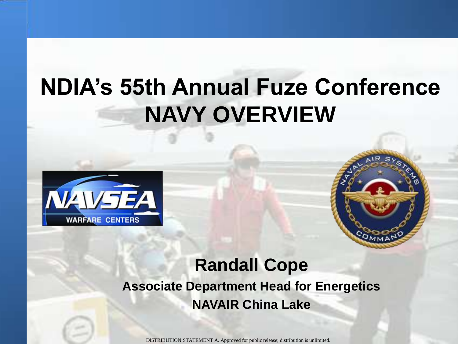## **NDIA's 55th Annual Fuze Conference NAVY OVERVIEW**





#### **Randall Cope Associate Department Head for Energetics NAVAIR China Lake**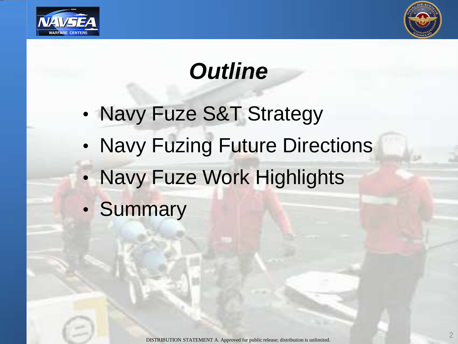



# *Outline*

- Navy Fuze S&T Strategy
- Navy Fuzing Future Directions
- Navy Fuze Work Highlights
- Summary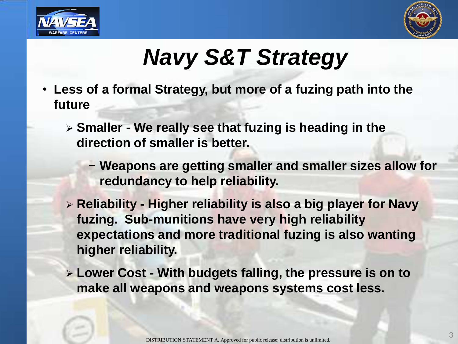



# *Navy S&T Strategy*

- **Less of a formal Strategy, but more of a fuzing path into the future**
	- **Smaller - We really see that fuzing is heading in the direction of smaller is better.** 
		- − **Weapons are getting smaller and smaller sizes allow for redundancy to help reliability.**
	- **Reliability - Higher reliability is also a big player for Navy fuzing. Sub-munitions have very high reliability expectations and more traditional fuzing is also wanting higher reliability.**
	- **Lower Cost - With budgets falling, the pressure is on to make all weapons and weapons systems cost less.**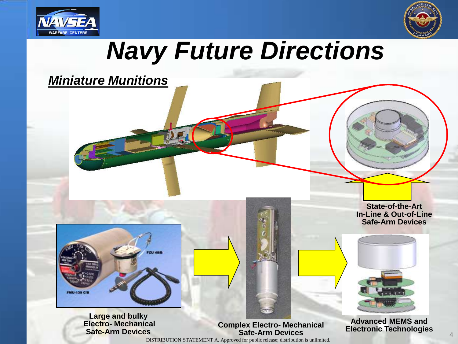



# *Navy Future Directions*

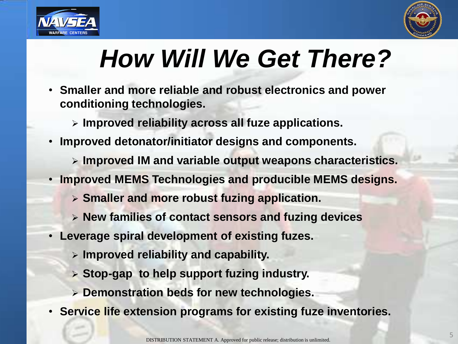



# *How Will We Get There?*

- **Smaller and more reliable and robust electronics and power conditioning technologies.** 
	- **Improved reliability across all fuze applications.**
- **Improved detonator/initiator designs and components.**
	- **Improved IM and variable output weapons characteristics.**
- **Improved MEMS Technologies and producible MEMS designs.**
	- **Smaller and more robust fuzing application.**
	- **New families of contact sensors and fuzing devices**
- **Leverage spiral development of existing fuzes.**
	- **Improved reliability and capability.**
	- **Stop-gap to help support fuzing industry.**
	- **Demonstration beds for new technologies.**
- **Service life extension programs for existing fuze inventories.**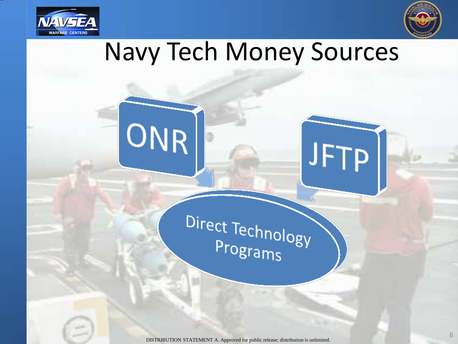

ONR



6

# Navy Tech Money Sources

# Direct Technology Programs

JFTP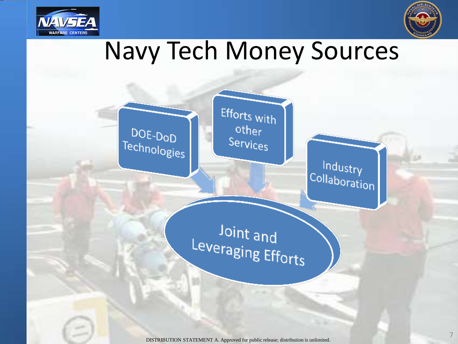



7

# Navy Tech Money Sources

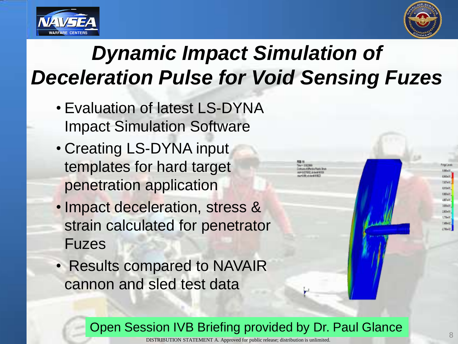



## *Dynamic Impact Simulation of Deceleration Pulse for Void Sensing Fuzes*

- Evaluation of latest LS-DYNA Impact Simulation Software
- Creating LS-DYNA input templates for hard target penetration application
- Impact deceleration, stress & strain calculated for penetrator Fuzes
- Results compared to NAVAIR cannon and sled test data

Open Session IVB Briefing provided by Dr. Paul Glance

sun of Disclay Page Drut

1005474 19864 suttade 1313-01 18834.01 **IETAO** 19304-01 mar 175645 744402 daught.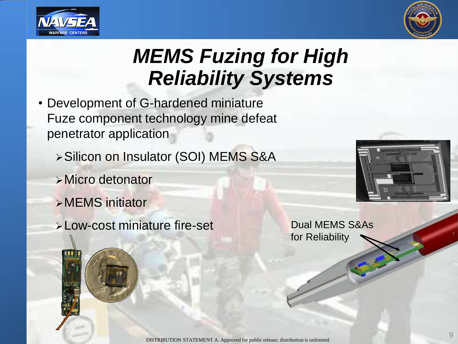



### *MEMS Fuzing for High Reliability Systems*

- Development of G-hardened miniature Fuze component technology mine defeat penetrator application
	- Silicon on Insulator (SOI) MEMS S&A
	- Micro detonator
	- MEMS initiator
	- > Low-cost miniature fire-set Dual MEMS S&As



for Reliability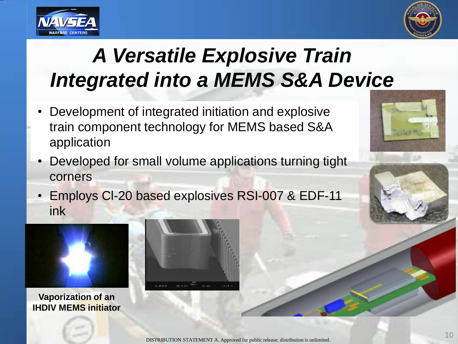



## *A Versatile Explosive Train Integrated into a MEMS S&A Device*

- Development of integrated initiation and explosive train component technology for MEMS based S&A application
- Developed for small volume applications turning tight corners
- Employs Cl-20 based explosives RSI-007 & EDF-11 ink



**Vaporization of an IHDIV MEMS initiator**



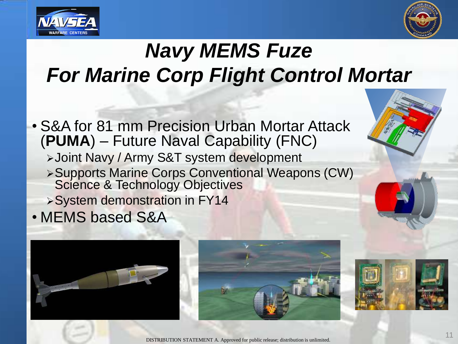



## *Navy MEMS Fuze For Marine Corp Flight Control Mortar*

• S&A for 81 mm Precision Urban Mortar Attack (**PUMA**) – Future Naval Capability (FNC) Joint Navy / Army S&T system development Supports Marine Corps Conventional Weapons (CW) Science & Technology Objectives System demonstration in FY14 • MEMS based S&A





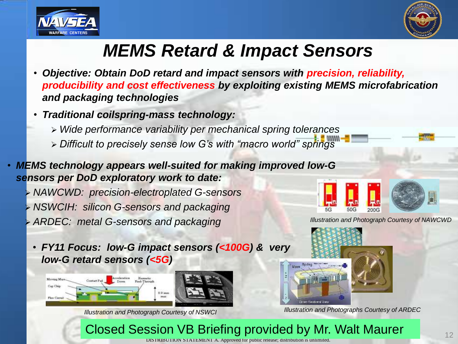



### *MEMS Retard & Impact Sensors*

- *Objective: Obtain DoD retard and impact sensors with precision, reliability, producibility and cost effectiveness by exploiting existing MEMS microfabrication and packaging technologies*
- *Traditional coilspring-mass technology:*
	- *Wide performance variability per mechanical spring tolerances*
	- *Difficult to precisely sense low G's with "macro world" springs*
- *MEMS technology appears well-suited for making improved low-G sensors per DoD exploratory work to date:*

 *NAWCWD: precision-electroplated G-sensors NSWCIH: silicon G-sensors and packaging ARDEC: metal G-sensors and packaging*



*Illustration and Photograph Courtesy of NAWCWD*

• *FY11 Focus: low-G impact sensors (<100G) & very low-G retard sensors (<5G)* 



*Illustration and Photograph Courtesy of NSWCI*



*Illustration and Photographs Courtesy of ARDEC* 

#### Closed Session VB Briefing provided by Mr. Walt Maurer

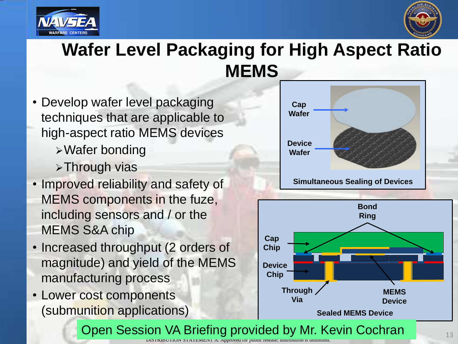



### **Wafer Level Packaging for High Aspect Ratio MEMS**

- Develop wafer level packaging techniques that are applicable to high-aspect ratio MEMS devices
	- Wafer bonding
	- **>Through vias**
- Improved reliability and safety of MEMS components in the fuze, including sensors and / or the MEMS S&A chip
- Increased throughput (2 orders of magnitude) and yield of the MEMS manufacturing process
- Lower cost components (submunition applications)



**Sealed MEMS Device**

DISTRIBUTION STATEMENT A. Approved for public release; distribution is unlimited. Open Session VA Briefing provided by Mr. Kevin Cochran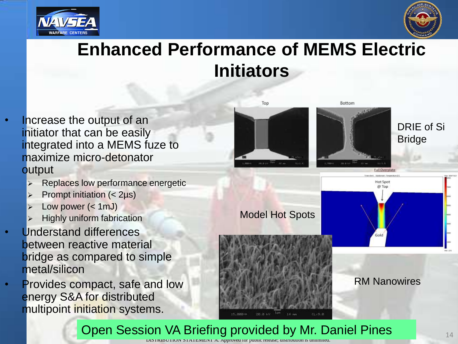



### **Enhanced Performance of MEMS Electric Initiators**

- Increase the output of an initiator that can be easily integrated into a MEMS fuze to maximize micro-detonator **output** 
	- Replaces low performance energetic
	- Prompt initiation (< 2µs)
	- Low power (< 1mJ)
	- Highly uniform fabrication
- Understand differences between reactive material bridge as compared to simple metal/silicon
- Provides compact, safe and low energy S&A for distributed multipoint initiation systems.



Model Hot Spots





#### RM Nanowires

DISTRIBUTION STATEMENT A. Approved for public release; distribution is unlimited. Open Session VA Briefing provided by Mr. Daniel Pines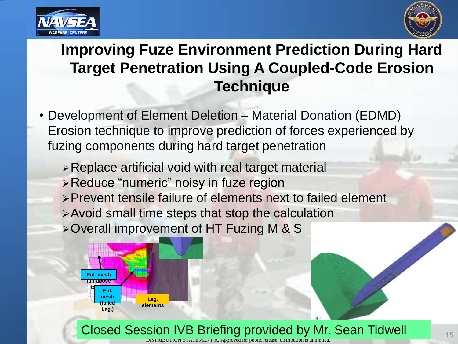



#### **Improving Fuze Environment Prediction During Hard Target Penetration Using A Coupled-Code Erosion Technique**

- Development of Element Deletion Material Donation (EDMD) Erosion technique to improve prediction of forces experienced by fuzing components during hard target penetration
	- Replace artificial void with real target material
	- Reduce "numeric" noisy in fuze region
	- Prevent tensile failure of elements next to failed element
	- Avoid small time steps that stop the calculation
	- Overall improvement of HT Fuzing M & S



Closed Session IVB Briefing provided by Mr. Sean Tidwell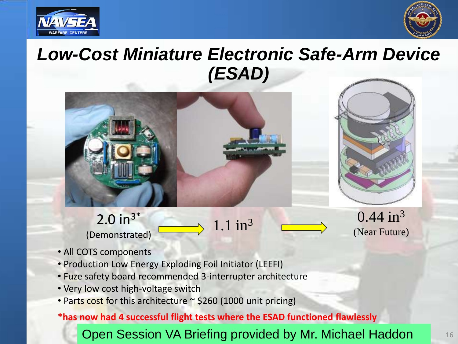



### *Low-Cost Miniature Electronic Safe-Arm Device (ESAD)*





 $2.0 in^{3*}$ (Demonstrated)

1.1 in<sup>3</sup> 0.44 in<sup>3</sup> (Near Future)

- All COTS components
- Production Low Energy Exploding Foil Initiator (LEEFI)
- Fuze safety board recommended 3-interrupter architecture
- Very low cost high-voltage switch
- Parts cost for this architecture  $\sim$  \$260 (1000 unit pricing)

**\*has now had 4 successful flight tests where the ESAD functioned flawlessly**

Open Session VA Briefing provided by Mr. Michael Haddon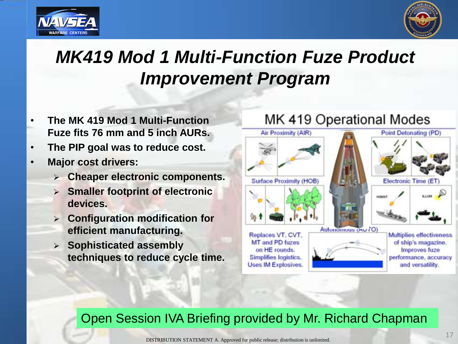



### *MK419 Mod 1 Multi-Function Fuze Product Improvement Program*

- **The MK 419 Mod 1 Multi-Function Fuze fits 76 mm and 5 inch AURs.**
- **The PIP goal was to reduce cost.**
- **Major cost drivers:**
	- **Cheaper electronic components.**
	- **Smaller footprint of electronic devices.**
	- **Configuration modification for efficient manufacturing.**
	- **Sophisticated assembly techniques to reduce cycle time.**

#### MK 419 Operational Modes



#### Open Session IVA Briefing provided by Mr. Richard Chapman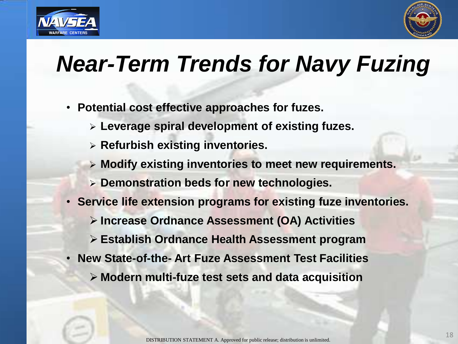



## *Near-Term Trends for Navy Fuzing*

- **Potential cost effective approaches for fuzes.**
	- **Leverage spiral development of existing fuzes.**
	- **Refurbish existing inventories.**
	- **Modify existing inventories to meet new requirements.**
	- **Demonstration beds for new technologies.**
- **Service life extension programs for existing fuze inventories.**
	- **Increase Ordnance Assessment (OA) Activities**
	- **Establish Ordnance Health Assessment program**
- **New State-of-the- Art Fuze Assessment Test Facilities**
	- **Modern multi-fuze test sets and data acquisition**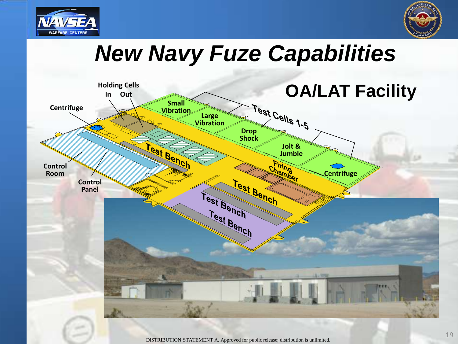



# *New Navy Fuze Capabilities*